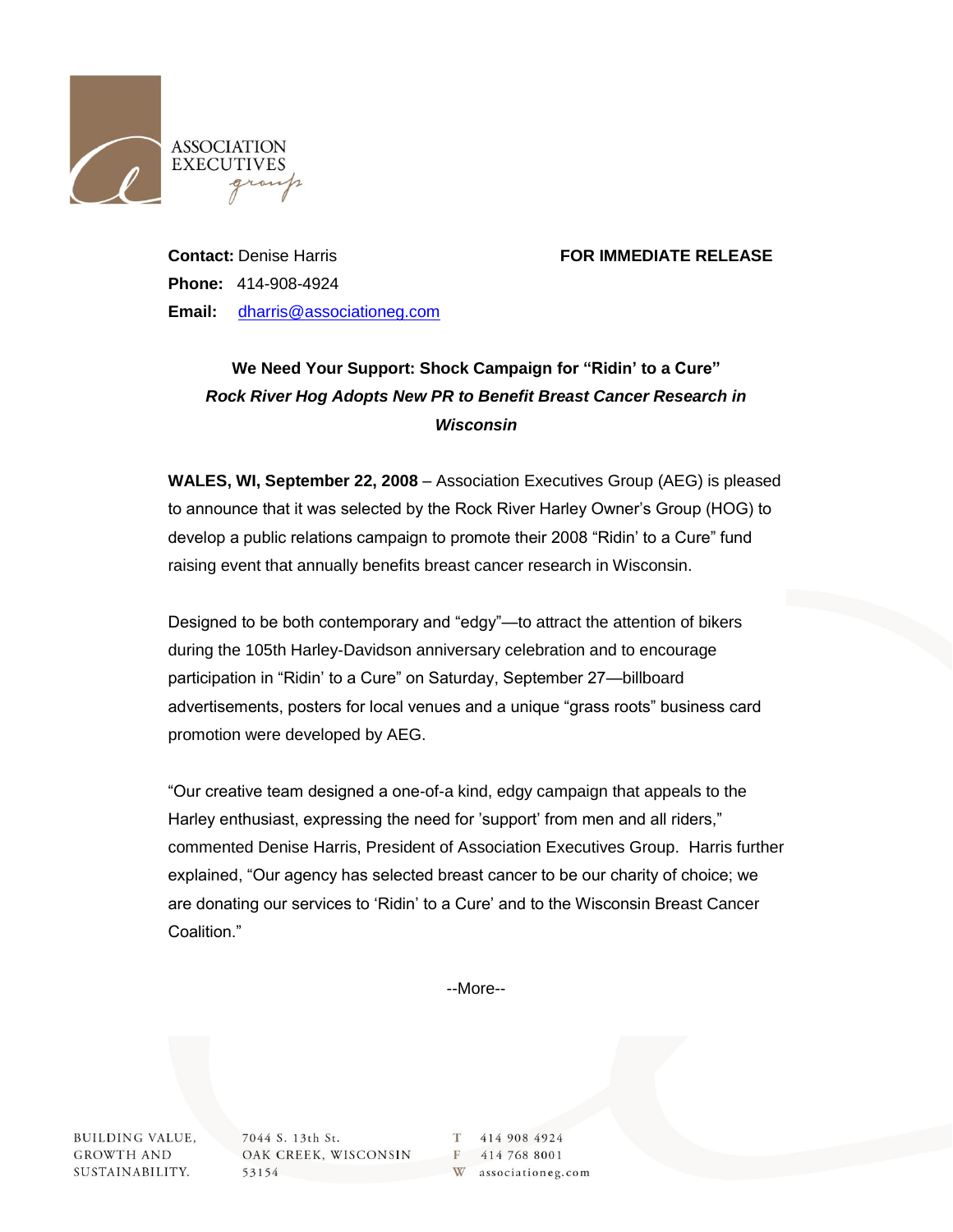

## **Contact:** Denise Harris **FOR IMMEDIATE RELEASE**

**Phone:** 414-908-4924 **Email:** [dharris@associationeg.com](mailto:dharris@associationeg.com)

## **We Need Your Support: Shock Campaign for "Ridin' to a Cure"** *Rock River Hog Adopts New PR to Benefit Breast Cancer Research in Wisconsin*

**WALES, WI, September 22, 2008** – Association Executives Group (AEG) is pleased to announce that it was selected by the Rock River Harley Owner's Group (HOG) to develop a public relations campaign to promote their 2008 "Ridin' to a Cure" fund raising event that annually benefits breast cancer research in Wisconsin.

Designed to be both contemporary and "edgy"—to attract the attention of bikers during the 105th Harley-Davidson anniversary celebration and to encourage participation in "Ridin' to a Cure" on Saturday, September 27—billboard advertisements, posters for local venues and a unique "grass roots" business card promotion were developed by AEG.

"Our creative team designed a one-of-a kind, edgy campaign that appeals to the Harley enthusiast, expressing the need for 'support' from men and all riders," commented Denise Harris, President of Association Executives Group. Harris further explained, "Our agency has selected breast cancer to be our charity of choice; we are donating our services to 'Ridin' to a Cure' and to the Wisconsin Breast Cancer Coalition."

--More--

**BUILDING VALUE, GROWTH AND** SUSTAINABILITY.

7044 S. 13th St. OAK CREEK, WISCONSIN 53154

414 908 4924 T. F 414 768 8001 W associationeg.com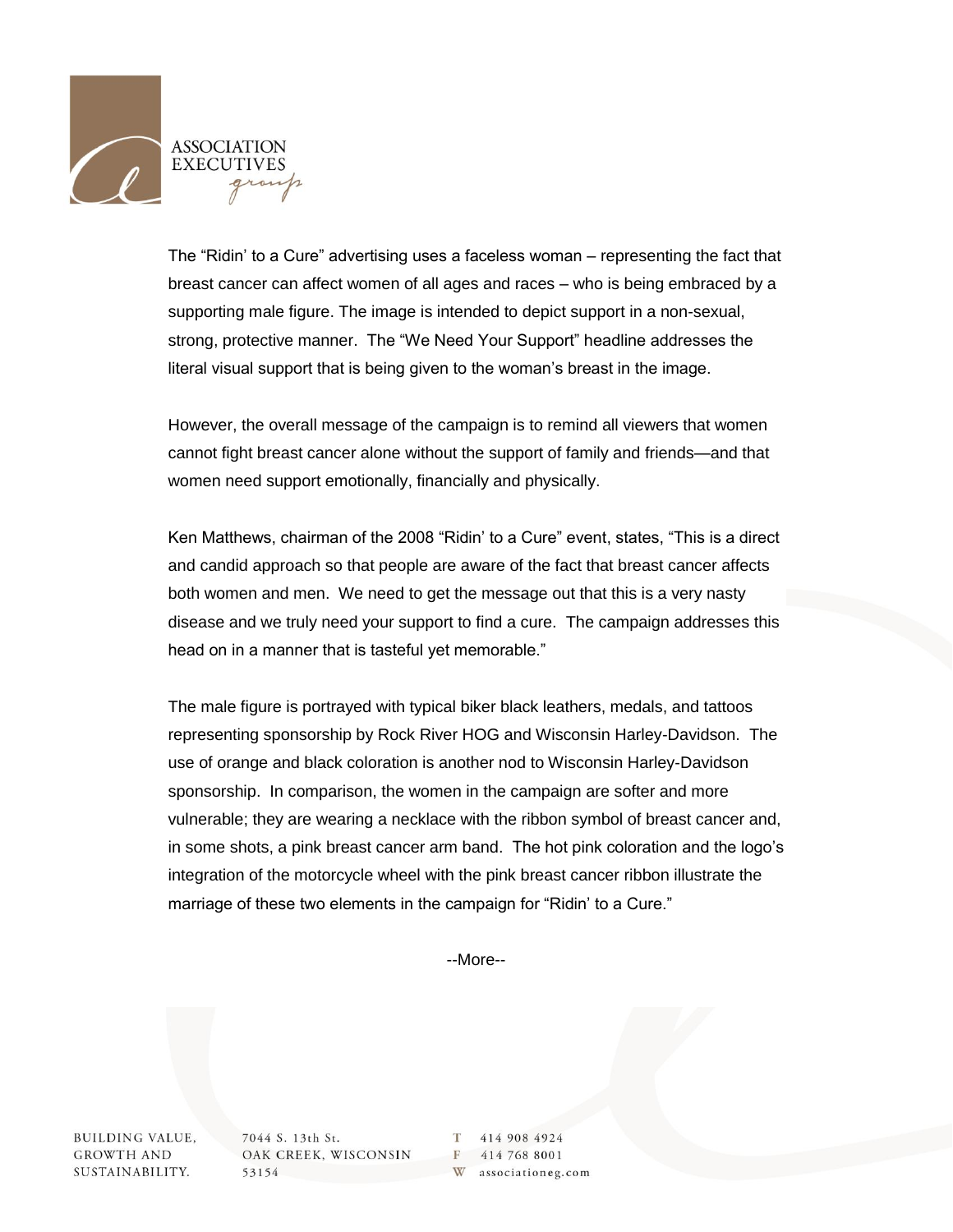

The "Ridin' to a Cure" advertising uses a faceless woman – representing the fact that breast cancer can affect women of all ages and races – who is being embraced by a supporting male figure. The image is intended to depict support in a non-sexual, strong, protective manner. The "We Need Your Support" headline addresses the literal visual support that is being given to the woman's breast in the image.

However, the overall message of the campaign is to remind all viewers that women cannot fight breast cancer alone without the support of family and friends—and that women need support emotionally, financially and physically.

Ken Matthews, chairman of the 2008 "Ridin' to a Cure" event, states, "This is a direct and candid approach so that people are aware of the fact that breast cancer affects both women and men. We need to get the message out that this is a very nasty disease and we truly need your support to find a cure. The campaign addresses this head on in a manner that is tasteful yet memorable."

The male figure is portrayed with typical biker black leathers, medals, and tattoos representing sponsorship by Rock River HOG and Wisconsin Harley-Davidson. The use of orange and black coloration is another nod to Wisconsin Harley-Davidson sponsorship. In comparison, the women in the campaign are softer and more vulnerable; they are wearing a necklace with the ribbon symbol of breast cancer and, in some shots, a pink breast cancer arm band. The hot pink coloration and the logo's integration of the motorcycle wheel with the pink breast cancer ribbon illustrate the marriage of these two elements in the campaign for "Ridin' to a Cure."

--More--

**BUILDING VALUE, GROWTH AND** SUSTAINABILITY.

7044 S. 13th St. OAK CREEK, WISCONSIN 53154

T 414 908 4924 F 414 768 8001 W associationeg.com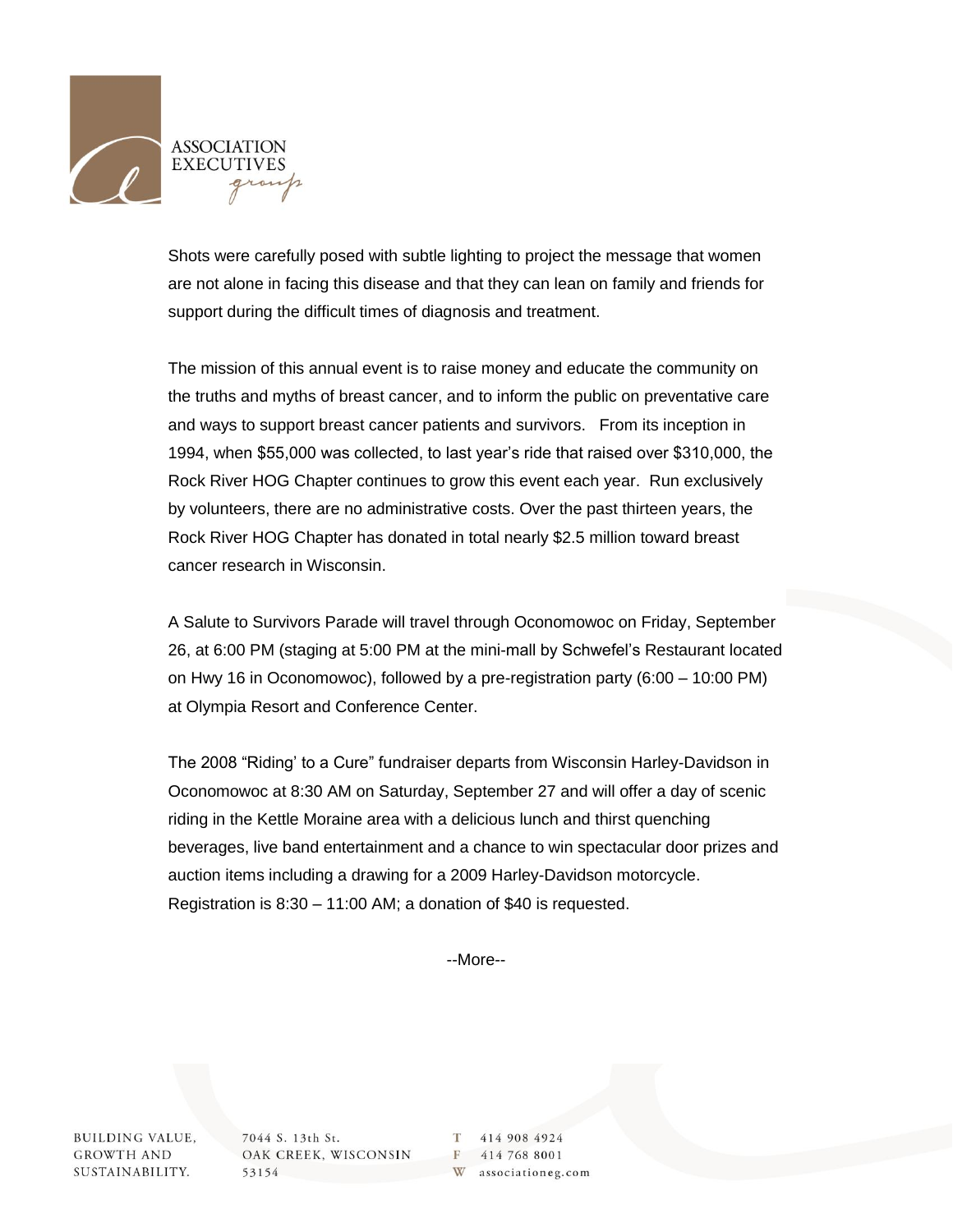

Shots were carefully posed with subtle lighting to project the message that women are not alone in facing this disease and that they can lean on family and friends for support during the difficult times of diagnosis and treatment.

The mission of this annual event is to raise money and educate the community on the truths and myths of breast cancer, and to inform the public on preventative care and ways to support breast cancer patients and survivors. From its inception in 1994, when \$55,000 was collected, to last year's ride that raised over \$310,000, the Rock River HOG Chapter continues to grow this event each year. Run exclusively by volunteers, there are no administrative costs. Over the past thirteen years, the Rock River HOG Chapter has donated in total nearly \$2.5 million toward breast cancer research in Wisconsin.

A Salute to Survivors Parade will travel through Oconomowoc on Friday, September 26, at 6:00 PM (staging at 5:00 PM at the mini-mall by Schwefel's Restaurant located on Hwy 16 in Oconomowoc), followed by a pre-registration party (6:00 – 10:00 PM) at Olympia Resort and Conference Center.

The 2008 "Riding' to a Cure" fundraiser departs from Wisconsin Harley-Davidson in Oconomowoc at 8:30 AM on Saturday, September 27 and will offer a day of scenic riding in the Kettle Moraine area with a delicious lunch and thirst quenching beverages, live band entertainment and a chance to win spectacular door prizes and auction items including a drawing for a 2009 Harley-Davidson motorcycle. Registration is 8:30 – 11:00 AM; a donation of \$40 is requested.

--More--

**BUILDING VALUE, GROWTH AND** SUSTAINABILITY.

7044 S. 13th St. OAK CREEK, WISCONSIN 53154

T 414 908 4924 F 414 768 8001 W associationeg.com